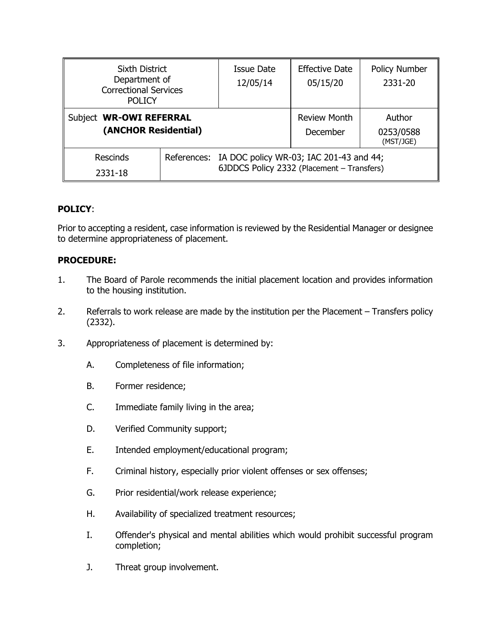| <b>Sixth District</b><br>Department of<br><b>Correctional Services</b><br><b>POLICY</b> |  | Issue Date<br>12/05/14                                                                            | <b>Effective Date</b><br>05/15/20 | <b>Policy Number</b><br>2331-20  |
|-----------------------------------------------------------------------------------------|--|---------------------------------------------------------------------------------------------------|-----------------------------------|----------------------------------|
| Subject WR-OWI REFERRAL<br>(ANCHOR Residential)                                         |  |                                                                                                   | <b>Review Month</b><br>December   | Author<br>0253/0588<br>(MST/JGE) |
| <b>Rescinds</b><br>2331-18                                                              |  | References: IA DOC policy WR-03; IAC 201-43 and 44;<br>6JDDCS Policy 2332 (Placement - Transfers) |                                   |                                  |

## **POLICY**:

Prior to accepting a resident, case information is reviewed by the Residential Manager or designee to determine appropriateness of placement.

## **PROCEDURE:**

- 1. The Board of Parole recommends the initial placement location and provides information to the housing institution.
- 2. Referrals to work release are made by the institution per the Placement Transfers policy (2332).
- 3. Appropriateness of placement is determined by:
	- A. Completeness of file information;
	- B. Former residence;
	- C. Immediate family living in the area;
	- D. Verified Community support;
	- E. Intended employment/educational program;
	- F. Criminal history, especially prior violent offenses or sex offenses;
	- G. Prior residential/work release experience;
	- H. Availability of specialized treatment resources;
	- I. Offender's physical and mental abilities which would prohibit successful program completion;
	- J. Threat group involvement.